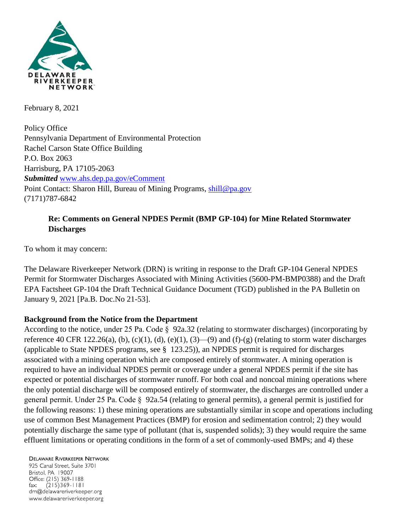

February 8, 2021

Policy Office Pennsylvania Department of Environmental Protection Rachel Carson State Office Building P.O. Box 2063 Harrisburg, PA 17105-2063 *Submitted* [www.ahs.dep.pa.gov/eComment](http://www.ahs.dep.pa.gov/eComment) Point Contact: Sharon Hill, Bureau of Mining Programs, [shill@pa.gov](mailto:shill@pa.gov) (7171)787-6842

# **Re: Comments on General NPDES Permit (BMP GP-104) for Mine Related Stormwater Discharges**

To whom it may concern:

The Delaware Riverkeeper Network (DRN) is writing in response to the Draft GP-104 General NPDES Permit for Stormwater Discharges Associated with Mining Activities (5600-PM-BMP0388) and the Draft EPA Factsheet GP-104 the Draft Technical Guidance Document (TGD) published in the PA Bulletin on January 9, 2021 [Pa.B. Doc.No 21-53].

## **Background from the Notice from the Department**

According to the notice, under 25 Pa. Code § 92a.32 (relating to stormwater discharges) (incorporating by reference 40 CFR 122.26(a), (b), (c)(1), (d), (e)(1), (3)—(9) and (f)-(g) (relating to storm water discharges (applicable to State NPDES programs, see § 123.25)), an NPDES permit is required for discharges associated with a mining operation which are composed entirely of stormwater. A mining operation is required to have an individual NPDES permit or coverage under a general NPDES permit if the site has expected or potential discharges of stormwater runoff. For both coal and noncoal mining operations where the only potential discharge will be composed entirely of stormwater, the discharges are controlled under a general permit. Under 25 Pa. Code § 92a.54 (relating to general permits), a general permit is justified for the following reasons: 1) these mining operations are substantially similar in scope and operations including use of common Best Management Practices (BMP) for erosion and sedimentation control; 2) they would potentially discharge the same type of pollutant (that is, suspended solids); 3) they would require the same effluent limitations or operating conditions in the form of a set of commonly-used BMPs; and 4) these

**DELAWARE RIVERKEEPER NETWORK** 

925 Canal Street, Suite 3701 Bristol, PA 19007 Office: (215) 369-1188  $(215)369 - 1181$ fax: drn@delawareriverkeeper.org www.delawareriverkeeper.org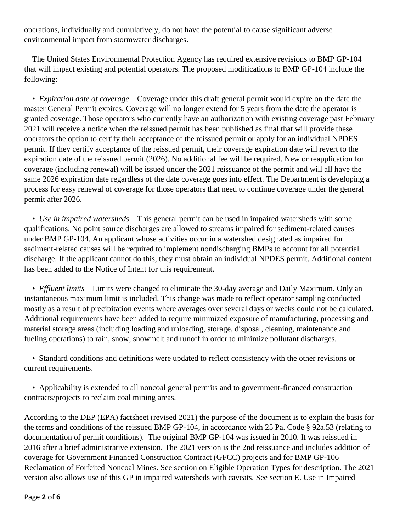operations, individually and cumulatively, do not have the potential to cause significant adverse environmental impact from stormwater discharges.

The United States Environmental Protection Agency has required extensive revisions to BMP GP-104 that will impact existing and potential operators. The proposed modifications to BMP GP-104 include the following:

• *Expiration date of coverage*—Coverage under this draft general permit would expire on the date the master General Permit expires. Coverage will no longer extend for 5 years from the date the operator is granted coverage. Those operators who currently have an authorization with existing coverage past February 2021 will receive a notice when the reissued permit has been published as final that will provide these operators the option to certify their acceptance of the reissued permit or apply for an individual NPDES permit. If they certify acceptance of the reissued permit, their coverage expiration date will revert to the expiration date of the reissued permit (2026). No additional fee will be required. New or reapplication for coverage (including renewal) will be issued under the 2021 reissuance of the permit and will all have the same 2026 expiration date regardless of the date coverage goes into effect. The Department is developing a process for easy renewal of coverage for those operators that need to continue coverage under the general permit after 2026.

• *Use in impaired watersheds*—This general permit can be used in impaired watersheds with some qualifications. No point source discharges are allowed to streams impaired for sediment-related causes under BMP GP-104. An applicant whose activities occur in a watershed designated as impaired for sediment-related causes will be required to implement nondischarging BMPs to account for all potential discharge. If the applicant cannot do this, they must obtain an individual NPDES permit. Additional content has been added to the Notice of Intent for this requirement.

• *Effluent limits*—Limits were changed to eliminate the 30-day average and Daily Maximum. Only an instantaneous maximum limit is included. This change was made to reflect operator sampling conducted mostly as a result of precipitation events where averages over several days or weeks could not be calculated. Additional requirements have been added to require minimized exposure of manufacturing, processing and material storage areas (including loading and unloading, storage, disposal, cleaning, maintenance and fueling operations) to rain, snow, snowmelt and runoff in order to minimize pollutant discharges.

• Standard conditions and definitions were updated to reflect consistency with the other revisions or current requirements.

• Applicability is extended to all noncoal general permits and to government-financed construction contracts/projects to reclaim coal mining areas.

According to the DEP (EPA) factsheet (revised 2021) the purpose of the document is to explain the basis for the terms and conditions of the reissued BMP GP-104, in accordance with 25 Pa. Code § 92a.53 (relating to documentation of permit conditions). The original BMP GP-104 was issued in 2010. It was reissued in 2016 after a brief administrative extension. The 2021 version is the 2nd reissuance and includes addition of coverage for Government Financed Construction Contract (GFCC) projects and for BMP GP-106 Reclamation of Forfeited Noncoal Mines. See section on Eligible Operation Types for description. The 2021 version also allows use of this GP in impaired watersheds with caveats. See section E. Use in Impaired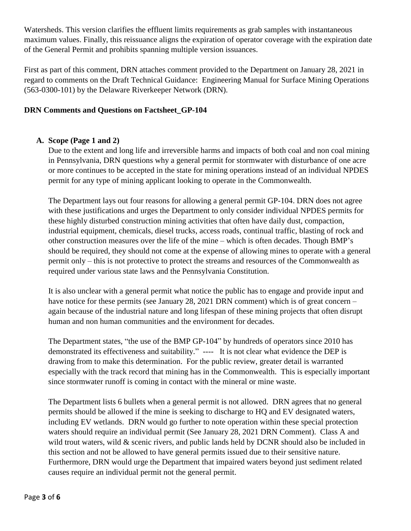Watersheds. This version clarifies the effluent limits requirements as grab samples with instantaneous maximum values. Finally, this reissuance aligns the expiration of operator coverage with the expiration date of the General Permit and prohibits spanning multiple version issuances.

First as part of this comment, DRN attaches comment provided to the Department on January 28, 2021 in regard to comments on the Draft Technical Guidance: Engineering Manual for Surface Mining Operations (563-0300-101) by the Delaware Riverkeeper Network (DRN).

### **DRN Comments and Questions on Factsheet\_GP-104**

### **A. Scope (Page 1 and 2)**

Due to the extent and long life and irreversible harms and impacts of both coal and non coal mining in Pennsylvania, DRN questions why a general permit for stormwater with disturbance of one acre or more continues to be accepted in the state for mining operations instead of an individual NPDES permit for any type of mining applicant looking to operate in the Commonwealth.

The Department lays out four reasons for allowing a general permit GP-104. DRN does not agree with these justifications and urges the Department to only consider individual NPDES permits for these highly disturbed construction mining activities that often have daily dust, compaction, industrial equipment, chemicals, diesel trucks, access roads, continual traffic, blasting of rock and other construction measures over the life of the mine – which is often decades. Though BMP's should be required, they should not come at the expense of allowing mines to operate with a general permit only – this is not protective to protect the streams and resources of the Commonwealth as required under various state laws and the Pennsylvania Constitution.

It is also unclear with a general permit what notice the public has to engage and provide input and have notice for these permits (see January 28, 2021 DRN comment) which is of great concern – again because of the industrial nature and long lifespan of these mining projects that often disrupt human and non human communities and the environment for decades.

The Department states, "the use of the BMP GP-104" by hundreds of operators since 2010 has demonstrated its effectiveness and suitability." ---- It is not clear what evidence the DEP is drawing from to make this determination. For the public review, greater detail is warranted especially with the track record that mining has in the Commonwealth. This is especially important since stormwater runoff is coming in contact with the mineral or mine waste.

The Department lists 6 bullets when a general permit is not allowed. DRN agrees that no general permits should be allowed if the mine is seeking to discharge to HQ and EV designated waters, including EV wetlands. DRN would go further to note operation within these special protection waters should require an individual permit (See January 28, 2021 DRN Comment). Class A and wild trout waters, wild & scenic rivers, and public lands held by DCNR should also be included in this section and not be allowed to have general permits issued due to their sensitive nature. Furthermore, DRN would urge the Department that impaired waters beyond just sediment related causes require an individual permit not the general permit.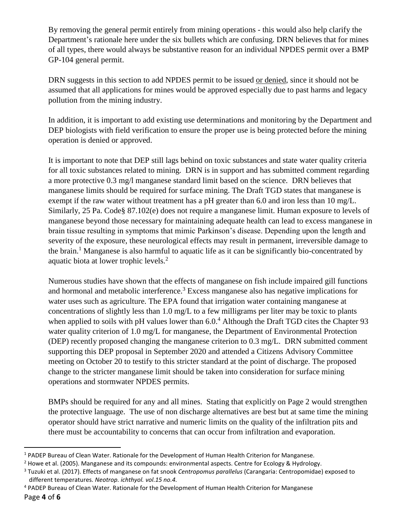By removing the general permit entirely from mining operations - this would also help clarify the Department's rationale here under the six bullets which are confusing. DRN believes that for mines of all types, there would always be substantive reason for an individual NPDES permit over a BMP GP-104 general permit.

DRN suggests in this section to add NPDES permit to be issued or denied, since it should not be assumed that all applications for mines would be approved especially due to past harms and legacy pollution from the mining industry.

In addition, it is important to add existing use determinations and monitoring by the Department and DEP biologists with field verification to ensure the proper use is being protected before the mining operation is denied or approved.

It is important to note that DEP still lags behind on toxic substances and state water quality criteria for all toxic substances related to mining. DRN is in support and has submitted comment regarding a more protective 0.3 mg/l manganese standard limit based on the science. DRN believes that manganese limits should be required for surface mining. The Draft TGD states that manganese is exempt if the raw water without treatment has a pH greater than 6.0 and iron less than 10 mg/L. Similarly, 25 Pa. Code§ 87.102(e) does not require a manganese limit. Human exposure to levels of manganese beyond those necessary for maintaining adequate health can lead to excess manganese in brain tissue resulting in symptoms that mimic Parkinson's disease. Depending upon the length and severity of the exposure, these neurological effects may result in permanent, irreversible damage to the brain.<sup>1</sup> Manganese is also harmful to aquatic life as it can be significantly bio-concentrated by aquatic biota at lower trophic levels.<sup>2</sup>

Numerous studies have shown that the effects of manganese on fish include impaired gill functions and hormonal and metabolic interference.<sup>3</sup> Excess manganese also has negative implications for water uses such as agriculture. The EPA found that irrigation water containing manganese at concentrations of slightly less than 1.0 mg/L to a few milligrams per liter may be toxic to plants when applied to soils with pH values lower than  $6.0<sup>4</sup>$  Although the Draft TGD cites the Chapter 93 water quality criterion of 1.0 mg/L for manganese, the Department of Environmental Protection (DEP) recently proposed changing the manganese criterion to 0.3 mg/L. DRN submitted comment supporting this DEP proposal in September 2020 and attended a Citizens Advisory Committee meeting on October 20 to testify to this stricter standard at the point of discharge. The proposed change to the stricter manganese limit should be taken into consideration for surface mining operations and stormwater NPDES permits.

BMPs should be required for any and all mines. Stating that explicitly on Page 2 would strengthen the protective language. The use of non discharge alternatives are best but at same time the mining operator should have strict narrative and numeric limits on the quality of the infiltration pits and there must be accountability to concerns that can occur from infiltration and evaporation.

 $\overline{a}$ 

<sup>&</sup>lt;sup>1</sup> PADEP Bureau of Clean Water. Rationale for the Development of Human Health Criterion for Manganese.

 $2$  Howe et al. (2005). Manganese and its compounds: environmental aspects. Centre for Ecology & Hydrology.

<sup>3</sup> Tuzuki et al. (2017). Effects of manganese on fat snook *Centropomus parallelus* (Carangaria: Centropomidae) exposed to different temperatures. *Neotrop. ichthyol. vol.15 no.4.*

<sup>4</sup> PADEP Bureau of Clean Water. Rationale for the Development of Human Health Criterion for Manganese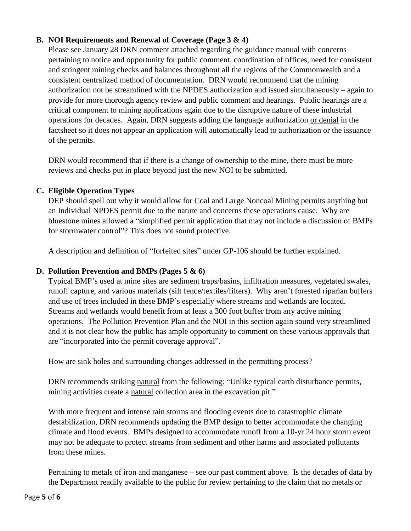### **B. NOI Requirements and Renewal of Coverage (Page 3 & 4)**

Please see January 28 DRN comment attached regarding the guidance manual with concerns pertaining to notice and opportunity for public comment, coordination of offices, need for consistent and stringent mining checks and balances throughout all the regions of the Commonwealth and a consistent centralized method of documentation. DRN would recommend that the mining authorization not be streamlined with the NPDES authorization and issued simultaneously – again to provide for more thorough agency review and public comment and hearings. Public hearings are a critical component to mining applications again due to the disruptive nature of these industrial operations for decades. Again, DRN suggests adding the language authorization or denial in the factsheet so it does not appear an application will automatically lead to authorization or the issuance of the permits.

DRN would recommend that if there is a change of ownership to the mine, there must be more reviews and checks put in place beyond just the new NOI to be submitted.

### **C. Eligible Operation Types**

DEP should spell out why it would allow for Coal and Large Noncoal Mining permits anything but an Individual NPDES permit due to the nature and concerns these operations cause. Why are bluestone mines allowed a "simplified permit application that may not include a discussion of BMPs for stormwater control"? This does not sound protective.

A description and definition of "forfeited sites" under GP-106 should be further explained.

### **D. Pollution Prevention and BMPs (Pages 5 & 6)**

Typical BMP's used at mine sites are sediment traps/basins, infiltration measures, vegetated swales, runoff capture, and various materials (silt fence/textiles/filters). Why aren't forested riparian buffers and use of trees included in these BMP's especially where streams and wetlands are located. Streams and wetlands would benefit from at least a 300 foot buffer from any active mining operations. The Pollution Prevention Plan and the NOI in this section again sound very streamlined and it is not clear how the public has ample opportunity to comment on these various approvals that are "incorporated into the permit coverage approval".

How are sink holes and surrounding changes addressed in the permitting process?

DRN recommends striking natural from the following: "Unlike typical earth disturbance permits, mining activities create a natural collection area in the excavation pit."

With more frequent and intense rain storms and flooding events due to catastrophic climate destabilization, DRN recommends updating the BMP design to better accommodate the changing climate and flood events. BMPs designed to accommodate runoff from a 10-yr 24 hour storm event may not be adequate to protect streams from sediment and other harms and associated pollutants from these mines.

Pertaining to metals of iron and manganese – see our past comment above. Is the decades of data by the Department readily available to the public for review pertaining to the claim that no metals or